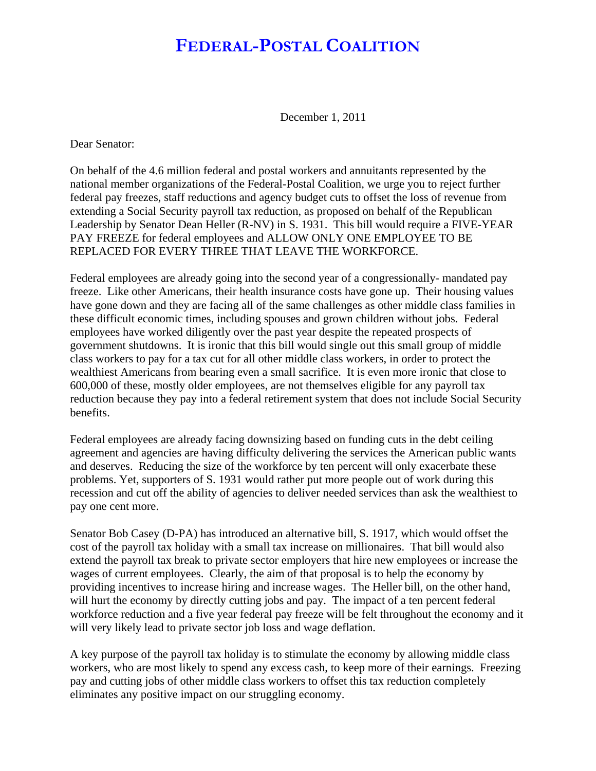## **FEDERAL-POSTAL COALITION**

December 1, 2011

Dear Senator:

On behalf of the 4.6 million federal and postal workers and annuitants represented by the national member organizations of the Federal-Postal Coalition, we urge you to reject further federal pay freezes, staff reductions and agency budget cuts to offset the loss of revenue from extending a Social Security payroll tax reduction, as proposed on behalf of the Republican Leadership by Senator Dean Heller (R-NV) in S. 1931. This bill would require a FIVE-YEAR PAY FREEZE for federal employees and ALLOW ONLY ONE EMPLOYEE TO BE REPLACED FOR EVERY THREE THAT LEAVE THE WORKFORCE.

Federal employees are already going into the second year of a congressionally- mandated pay freeze. Like other Americans, their health insurance costs have gone up. Their housing values have gone down and they are facing all of the same challenges as other middle class families in these difficult economic times, including spouses and grown children without jobs. Federal employees have worked diligently over the past year despite the repeated prospects of government shutdowns. It is ironic that this bill would single out this small group of middle class workers to pay for a tax cut for all other middle class workers, in order to protect the wealthiest Americans from bearing even a small sacrifice. It is even more ironic that close to 600,000 of these, mostly older employees, are not themselves eligible for any payroll tax reduction because they pay into a federal retirement system that does not include Social Security benefits.

Federal employees are already facing downsizing based on funding cuts in the debt ceiling agreement and agencies are having difficulty delivering the services the American public wants and deserves. Reducing the size of the workforce by ten percent will only exacerbate these problems. Yet, supporters of S. 1931 would rather put more people out of work during this recession and cut off the ability of agencies to deliver needed services than ask the wealthiest to pay one cent more.

Senator Bob Casey (D-PA) has introduced an alternative bill, S. 1917, which would offset the cost of the payroll tax holiday with a small tax increase on millionaires. That bill would also extend the payroll tax break to private sector employers that hire new employees or increase the wages of current employees. Clearly, the aim of that proposal is to help the economy by providing incentives to increase hiring and increase wages. The Heller bill, on the other hand, will hurt the economy by directly cutting jobs and pay. The impact of a ten percent federal workforce reduction and a five year federal pay freeze will be felt throughout the economy and it will very likely lead to private sector job loss and wage deflation.

A key purpose of the payroll tax holiday is to stimulate the economy by allowing middle class workers, who are most likely to spend any excess cash, to keep more of their earnings. Freezing pay and cutting jobs of other middle class workers to offset this tax reduction completely eliminates any positive impact on our struggling economy.